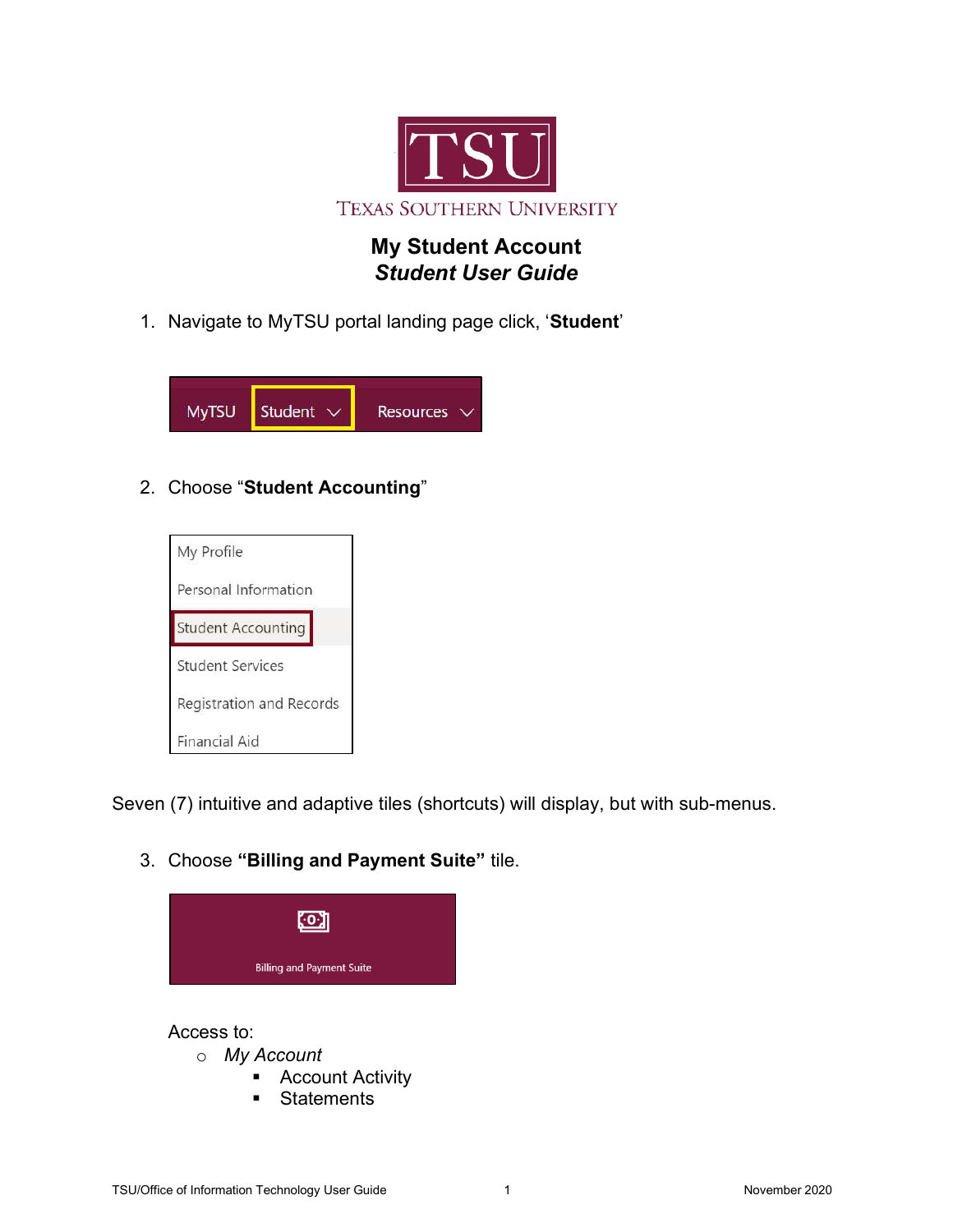

## My Student Account Student User Guide

1. Navigate to MyTSU portal landing page click, 'Student'



## 2. Choose "Student Accounting"



Seven (7) intuitive and adaptive tiles (shortcuts) will display, but with sub-menus.

3. Choose "Billing and Payment Suite" tile.



## Access to:

- o My Account
	- **Account Activity**
	- **Statements**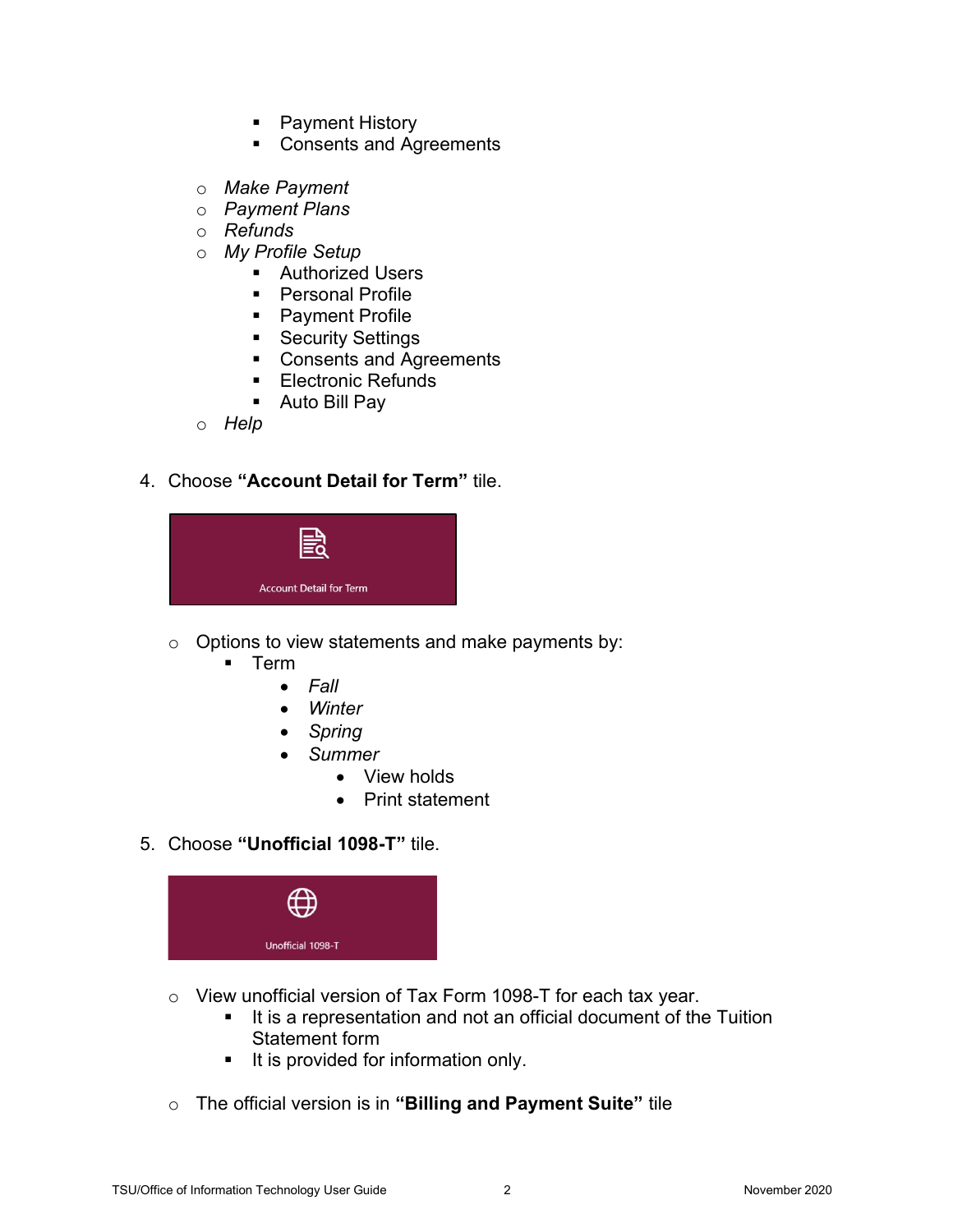- Payment History
- Consents and Agreements
- o Make Payment
- o Payment Plans
- o Refunds
- o My Profile Setup
	- **Authorized Users**
	- **Personal Profile**
	- Payment Profile
	- Security Settings
	- Consents and Agreements
	- **Electronic Refunds**
	- Auto Bill Pay
- o Help

## 4. Choose "Account Detail for Term" tile.



- $\circ$  Options to view statements and make payments by:
	- $\blacksquare$  Term
		- $\bullet$  Fall
		- Winter
		- Spring
		- Summer
			- View holds
			- Print statement
- 5. Choose "Unofficial 1098-T" tile.



- o View unofficial version of Tax Form 1098-T for each tax year.
	- It is a representation and not an official document of the Tuition Statement form
	- It is provided for information only.
- $\circ$  The official version is in "Billing and Payment Suite" tile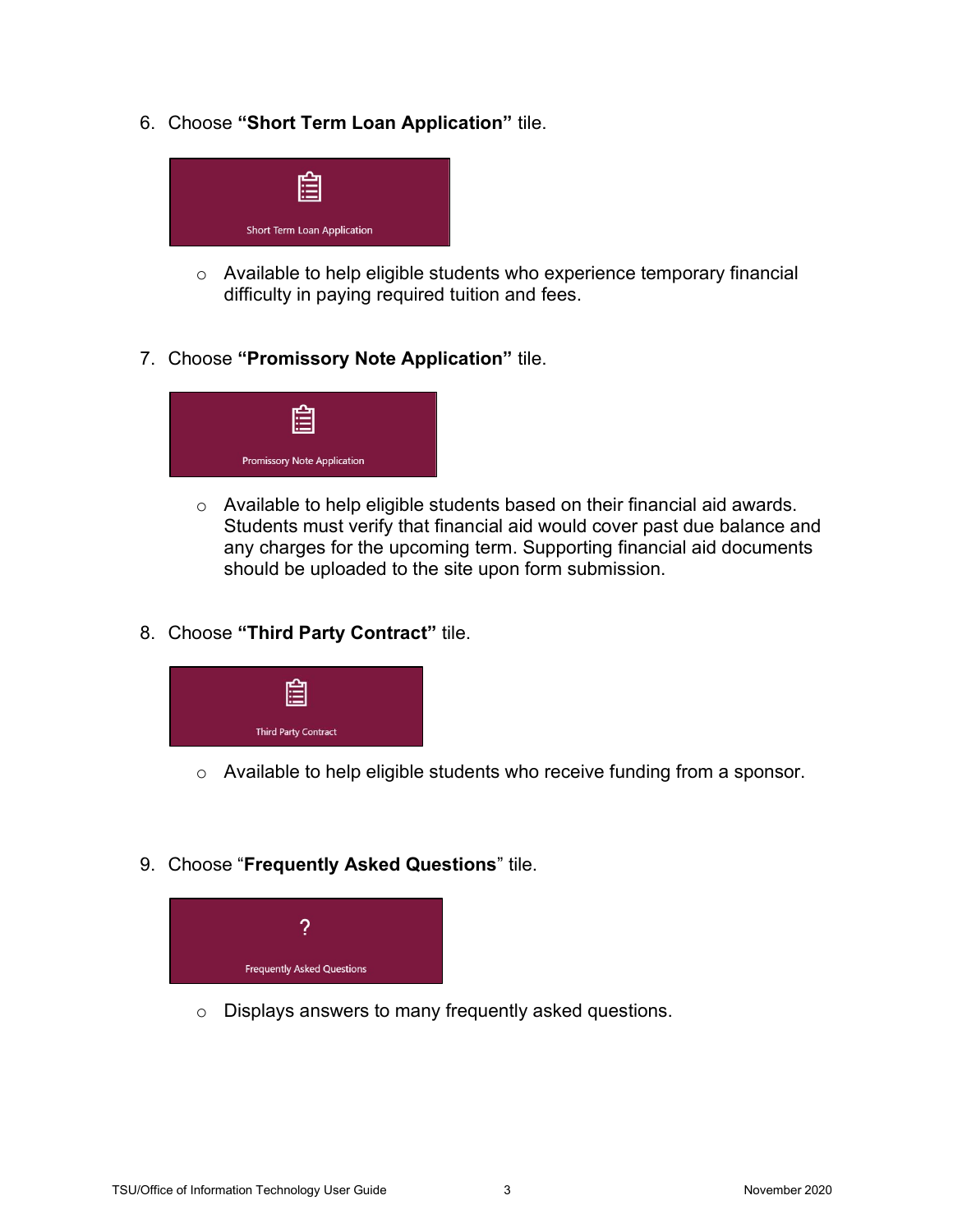6. Choose "Short Term Loan Application" tile.



- o Available to help eligible students who experience temporary financial difficulty in paying required tuition and fees.
- 7. Choose "Promissory Note Application" tile.



- o Available to help eligible students based on their financial aid awards. Students must verify that financial aid would cover past due balance and any charges for the upcoming term. Supporting financial aid documents should be uploaded to the site upon form submission.
- 8. Choose "Third Party Contract" tile.



- o Available to help eligible students who receive funding from a sponsor.
- 9. Choose "Frequently Asked Questions" tile.



o Displays answers to many frequently asked questions.